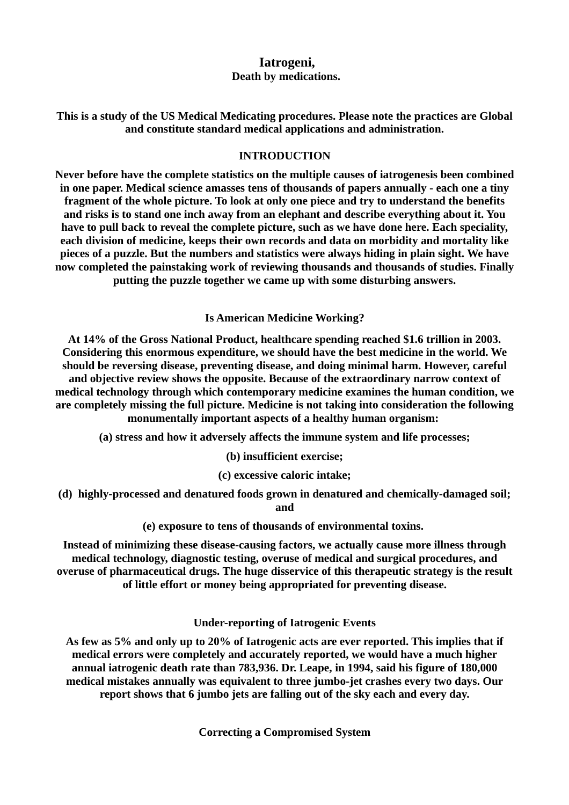# **Iatrogeni, Death by medications.**

**This is a study of the US Medical Medicating procedures. Please note the practices are Global and constitute standard medical applications and administration.**

## **INTRODUCTION**

**Never before have the complete statistics on the multiple causes of iatrogenesis been combined in one paper. Medical science amasses tens of thousands of papers annually - each one a tiny fragment of the whole picture. To look at only one piece and try to understand the benefits and risks is to stand one inch away from an elephant and describe everything about it. You have to pull back to reveal the complete picture, such as we have done here. Each speciality, each division of medicine, keeps their own records and data on morbidity and mortality like pieces of a puzzle. But the numbers and statistics were always hiding in plain sight. We have now completed the painstaking work of reviewing thousands and thousands of studies. Finally putting the puzzle together we came up with some disturbing answers.**

**Is American Medicine Working?**

**At 14% of the Gross National Product, healthcare spending reached \$1.6 trillion in 2003. Considering this enormous expenditure, we should have the best medicine in the world. We should be reversing disease, preventing disease, and doing minimal harm. However, careful and objective review shows the opposite. Because of the extraordinary narrow context of medical technology through which contemporary medicine examines the human condition, we are completely missing the full picture. Medicine is not taking into consideration the following monumentally important aspects of a healthy human organism:** 

**(a) stress and how it adversely affects the immune system and life processes;**

**(b) insufficient exercise;**

**(c) excessive caloric intake;**

**(d) highly-processed and denatured foods grown in denatured and chemically-damaged soil; and**

**(e) exposure to tens of thousands of environmental toxins.** 

**Instead of minimizing these disease-causing factors, we actually cause more illness through medical technology, diagnostic testing, overuse of medical and surgical procedures, and overuse of pharmaceutical drugs. The huge disservice of this therapeutic strategy is the result of little effort or money being appropriated for preventing disease.**

**Under-reporting of Iatrogenic Events**

**As few as 5% and only up to 20% of Iatrogenic acts are ever reported. This implies that if medical errors were completely and accurately reported, we would have a much higher annual iatrogenic death rate than 783,936. Dr. Leape, in 1994, said his figure of 180,000 medical mistakes annually was equivalent to three jumbo-jet crashes every two days. Our report shows that 6 jumbo jets are falling out of the sky each and every day.**

**Correcting a Compromised System**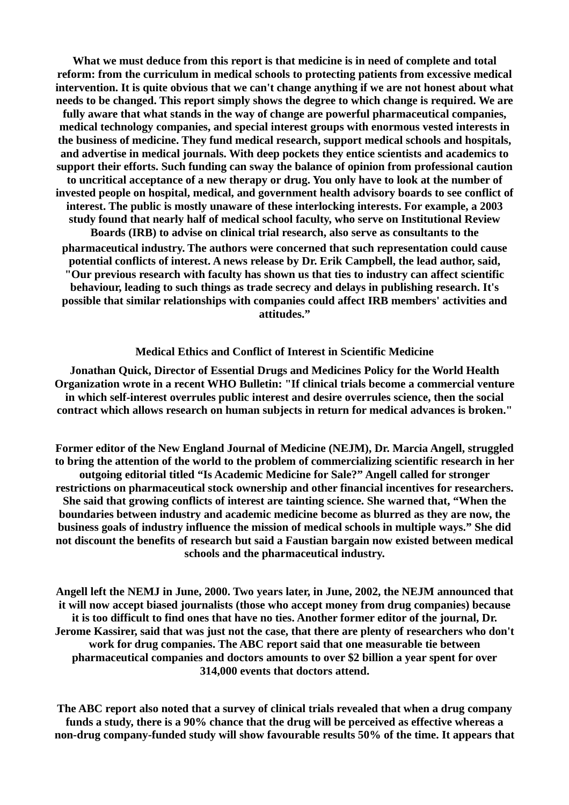**What we must deduce from this report is that medicine is in need of complete and total reform: from the curriculum in medical schools to protecting patients from excessive medical intervention. It is quite obvious that we can't change anything if we are not honest about what needs to be changed. This report simply shows the degree to which change is required. We are fully aware that what stands in the way of change are powerful pharmaceutical companies, medical technology companies, and special interest groups with enormous vested interests in the business of medicine. They fund medical research, support medical schools and hospitals, and advertise in medical journals. With deep pockets they entice scientists and academics to support their efforts. Such funding can sway the balance of opinion from professional caution to uncritical acceptance of a new therapy or drug. You only have to look at the number of invested people on hospital, medical, and government health advisory boards to see conflict of interest. The public is mostly unaware of these interlocking interests. For example, a 2003 study found that nearly half of medical school faculty, who serve on Institutional Review Boards (IRB) to advise on clinical trial research, also serve as consultants to the pharmaceutical industry. The authors were concerned that such representation could cause potential conflicts of interest. A news release by Dr. Erik Campbell, the lead author, said, "Our previous research with faculty has shown us that ties to industry can affect scientific behaviour, leading to such things as trade secrecy and delays in publishing research. It's possible that similar relationships with companies could affect IRB members' activities and attitudes."**

### **Medical Ethics and Conflict of Interest in Scientific Medicine**

**Jonathan Quick, Director of Essential Drugs and Medicines Policy for the World Health Organization wrote in a recent WHO Bulletin: "If clinical trials become a commercial venture in which self-interest overrules public interest and desire overrules science, then the social contract which allows research on human subjects in return for medical advances is broken."**

**Former editor of the New England Journal of Medicine (NEJM), Dr. Marcia Angell, struggled to bring the attention of the world to the problem of commercializing scientific research in her outgoing editorial titled "Is Academic Medicine for Sale?" Angell called for stronger restrictions on pharmaceutical stock ownership and other financial incentives for researchers. She said that growing conflicts of interest are tainting science. She warned that, "When the boundaries between industry and academic medicine become as blurred as they are now, the business goals of industry influence the mission of medical schools in multiple ways." She did not discount the benefits of research but said a Faustian bargain now existed between medical schools and the pharmaceutical industry.**

**Angell left the NEMJ in June, 2000. Two years later, in June, 2002, the NEJM announced that it will now accept biased journalists (those who accept money from drug companies) because it is too difficult to find ones that have no ties. Another former editor of the journal, Dr. Jerome Kassirer, said that was just not the case, that there are plenty of researchers who don't work for drug companies. The ABC report said that one measurable tie between pharmaceutical companies and doctors amounts to over \$2 billion a year spent for over 314,000 events that doctors attend.**

**The ABC report also noted that a survey of clinical trials revealed that when a drug company funds a study, there is a 90% chance that the drug will be perceived as effective whereas a non-drug company-funded study will show favourable results 50% of the time. It appears that**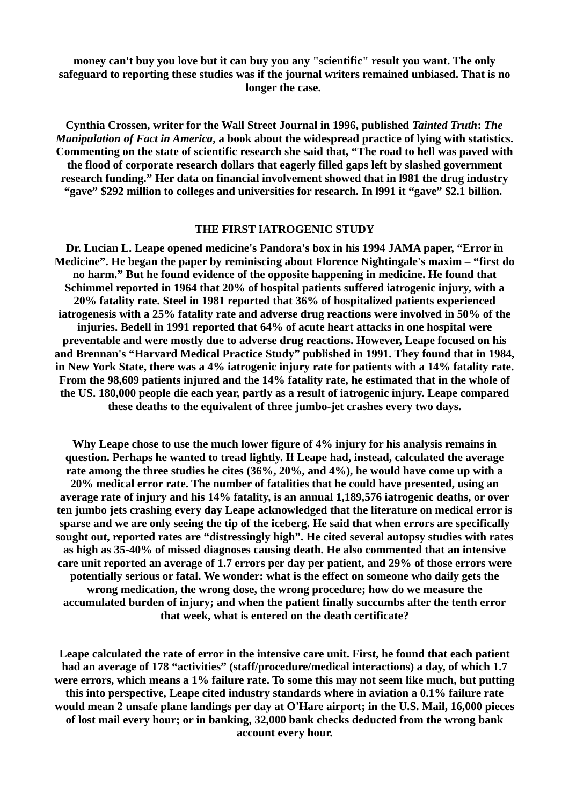**money can't buy you love but it can buy you any "scientific" result you want. The only safeguard to reporting these studies was if the journal writers remained unbiased. That is no longer the case.** 

**Cynthia Crossen, writer for the Wall Street Journal in 1996, published** *Tainted Truth***:** *The Manipulation of Fact in America***, a book about the widespread practice of lying with statistics. Commenting on the state of scientific research she said that, "The road to hell was paved with the flood of corporate research dollars that eagerly filled gaps left by slashed government research funding." Her data on financial involvement showed that in l981 the drug industry "gave" \$292 million to colleges and universities for research. In l991 it "gave" \$2.1 billion.** 

#### **THE FIRST IATROGENIC STUDY**

**Dr. Lucian L. Leape opened medicine's Pandora's box in his 1994 JAMA paper, "Error in Medicine". He began the paper by reminiscing about Florence Nightingale's maxim – "first do no harm." But he found evidence of the opposite happening in medicine. He found that Schimmel reported in 1964 that 20% of hospital patients suffered iatrogenic injury, with a 20% fatality rate. Steel in 1981 reported that 36% of hospitalized patients experienced iatrogenesis with a 25% fatality rate and adverse drug reactions were involved in 50% of the injuries. Bedell in 1991 reported that 64% of acute heart attacks in one hospital were preventable and were mostly due to adverse drug reactions. However, Leape focused on his and Brennan's "Harvard Medical Practice Study" published in 1991. They found that in 1984, in New York State, there was a 4% iatrogenic injury rate for patients with a 14% fatality rate. From the 98,609 patients injured and the 14% fatality rate, he estimated that in the whole of the US. 180,000 people die each year, partly as a result of iatrogenic injury. Leape compared these deaths to the equivalent of three jumbo-jet crashes every two days.**

**Why Leape chose to use the much lower figure of 4% injury for his analysis remains in question. Perhaps he wanted to tread lightly. If Leape had, instead, calculated the average rate among the three studies he cites (36%, 20%, and 4%), he would have come up with a 20% medical error rate. The number of fatalities that he could have presented, using an average rate of injury and his 14% fatality, is an annual 1,189,576 iatrogenic deaths, or over ten jumbo jets crashing every day Leape acknowledged that the literature on medical error is sparse and we are only seeing the tip of the iceberg. He said that when errors are specifically sought out, reported rates are "distressingly high". He cited several autopsy studies with rates as high as 35-40% of missed diagnoses causing death. He also commented that an intensive care unit reported an average of 1.7 errors per day per patient, and 29% of those errors were potentially serious or fatal. We wonder: what is the effect on someone who daily gets the wrong medication, the wrong dose, the wrong procedure; how do we measure the accumulated burden of injury; and when the patient finally succumbs after the tenth error that week, what is entered on the death certificate?**

**Leape calculated the rate of error in the intensive care unit. First, he found that each patient had an average of 178 "activities" (staff/procedure/medical interactions) a day, of which 1.7 were errors, which means a 1% failure rate. To some this may not seem like much, but putting this into perspective, Leape cited industry standards where in aviation a 0.1% failure rate would mean 2 unsafe plane landings per day at O'Hare airport; in the U.S. Mail, 16,000 pieces of lost mail every hour; or in banking, 32,000 bank checks deducted from the wrong bank account every hour.**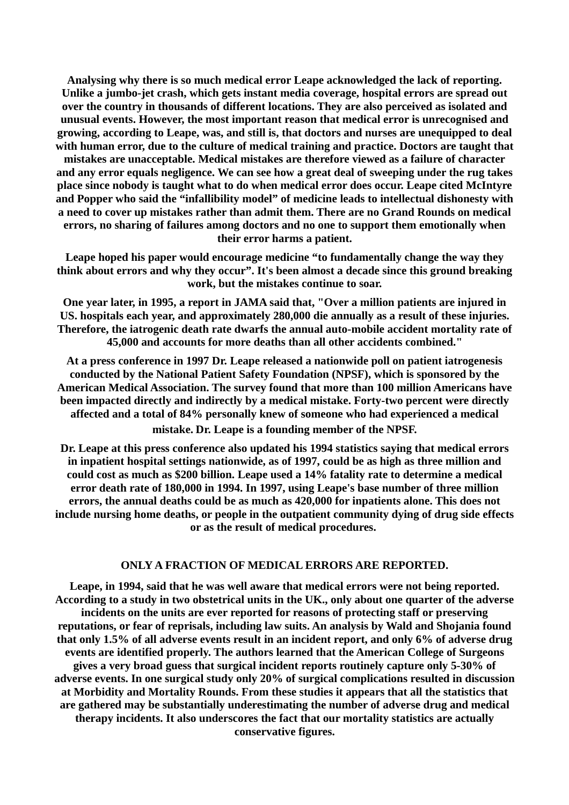**Analysing why there is so much medical error Leape acknowledged the lack of reporting. Unlike a jumbo-jet crash, which gets instant media coverage, hospital errors are spread out over the country in thousands of different locations. They are also perceived as isolated and unusual events. However, the most important reason that medical error is unrecognised and growing, according to Leape, was, and still is, that doctors and nurses are unequipped to deal with human error, due to the culture of medical training and practice. Doctors are taught that mistakes are unacceptable. Medical mistakes are therefore viewed as a failure of character and any error equals negligence. We can see how a great deal of sweeping under the rug takes place since nobody is taught what to do when medical error does occur. Leape cited McIntyre and Popper who said the "infallibility model" of medicine leads to intellectual dishonesty with a need to cover up mistakes rather than admit them. There are no Grand Rounds on medical errors, no sharing of failures among doctors and no one to support them emotionally when their error harms a patient.**

**Leape hoped his paper would encourage medicine "to fundamentally change the way they think about errors and why they occur". It's been almost a decade since this ground breaking work, but the mistakes continue to soar.**

**One year later, in 1995, a report in JAMA said that, "Over a million patients are injured in US. hospitals each year, and approximately 280,000 die annually as a result of these injuries. Therefore, the iatrogenic death rate dwarfs the annual auto-mobile accident mortality rate of 45,000 and accounts for more deaths than all other accidents combined."**

**At a press conference in 1997 Dr. Leape released a nationwide poll on patient iatrogenesis conducted by the National Patient Safety Foundation (NPSF), which is sponsored by the American Medical Association. The survey found that more than 100 million Americans have been impacted directly and indirectly by a medical mistake. Forty-two percent were directly affected and a total of 84% personally knew of someone who had experienced a medical mistake. Dr. Leape is a founding member of the NPSF.**

**Dr. Leape at this press conference also updated his 1994 statistics saying that medical errors in inpatient hospital settings nationwide, as of 1997, could be as high as three million and could cost as much as \$200 billion. Leape used a 14% fatality rate to determine a medical error death rate of 180,000 in 1994. In 1997, using Leape's base number of three million errors, the annual deaths could be as much as 420,000 for inpatients alone. This does not include nursing home deaths, or people in the outpatient community dying of drug side effects or as the result of medical procedures.** 

## **ONLY A FRACTION OF MEDICAL ERRORS ARE REPORTED.**

**Leape, in 1994, said that he was well aware that medical errors were not being reported. According to a study in two obstetrical units in the UK., only about one quarter of the adverse incidents on the units are ever reported for reasons of protecting staff or preserving reputations, or fear of reprisals, including law suits. An analysis by Wald and Shojania found that only 1.5% of all adverse events result in an incident report, and only 6% of adverse drug events are identified properly. The authors learned that the American College of Surgeons gives a very broad guess that surgical incident reports routinely capture only 5-30% of adverse events. In one surgical study only 20% of surgical complications resulted in discussion at Morbidity and Mortality Rounds. From these studies it appears that all the statistics that are gathered may be substantially underestimating the number of adverse drug and medical therapy incidents. It also underscores the fact that our mortality statistics are actually conservative figures.**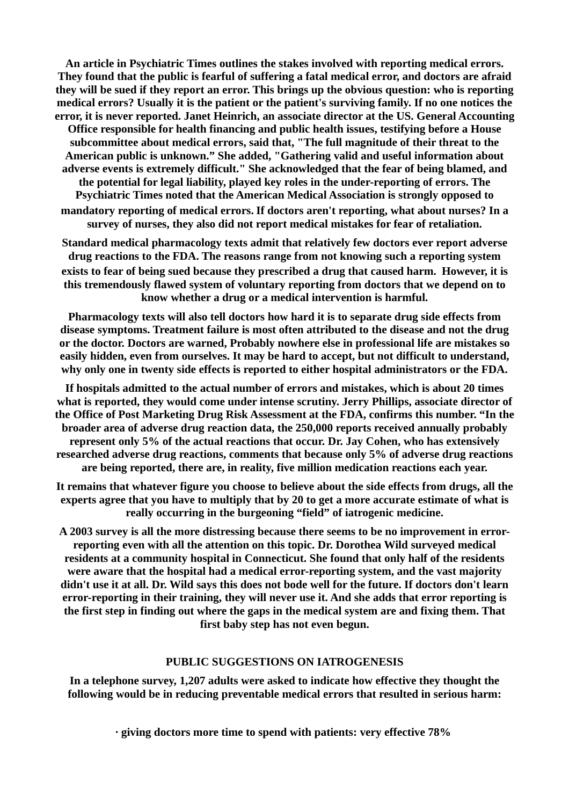**An article in Psychiatric Times outlines the stakes involved with reporting medical errors. They found that the public is fearful of suffering a fatal medical error, and doctors are afraid they will be sued if they report an error. This brings up the obvious question: who is reporting medical errors? Usually it is the patient or the patient's surviving family. If no one notices the error, it is never reported. Janet Heinrich, an associate director at the US. General Accounting Office responsible for health financing and public health issues, testifying before a House subcommittee about medical errors, said that, "The full magnitude of their threat to the American public is unknown." She added, "Gathering valid and useful information about adverse events is extremely difficult." She acknowledged that the fear of being blamed, and the potential for legal liability, played key roles in the under-reporting of errors. The Psychiatric Times noted that the American Medical Association is strongly opposed to mandatory reporting of medical errors. If doctors aren't reporting, what about nurses? In a survey of nurses, they also did not report medical mistakes for fear of retaliation.**

**Standard medical pharmacology texts admit that relatively few doctors ever report adverse drug reactions to the FDA. The reasons range from not knowing such a reporting system exists to fear of being sued because they prescribed a drug that caused harm. However, it is this tremendously flawed system of voluntary reporting from doctors that we depend on to know whether a drug or a medical intervention is harmful.**

**Pharmacology texts will also tell doctors how hard it is to separate drug side effects from disease symptoms. Treatment failure is most often attributed to the disease and not the drug or the doctor. Doctors are warned, Probably nowhere else in professional life are mistakes so easily hidden, even from ourselves. It may be hard to accept, but not difficult to understand, why only one in twenty side effects is reported to either hospital administrators or the FDA.**

**If hospitals admitted to the actual number of errors and mistakes, which is about 20 times what is reported, they would come under intense scrutiny. Jerry Phillips, associate director of the Office of Post Marketing Drug Risk Assessment at the FDA, confirms this number. "In the broader area of adverse drug reaction data, the 250,000 reports received annually probably represent only 5% of the actual reactions that occur. Dr. Jay Cohen, who has extensively researched adverse drug reactions, comments that because only 5% of adverse drug reactions are being reported, there are, in reality, five million medication reactions each year.**

**It remains that whatever figure you choose to believe about the side effects from drugs, all the experts agree that you have to multiply that by 20 to get a more accurate estimate of what is really occurring in the burgeoning "field" of iatrogenic medicine.**

**A 2003 survey is all the more distressing because there seems to be no improvement in errorreporting even with all the attention on this topic. Dr. Dorothea Wild surveyed medical residents at a community hospital in Connecticut. She found that only half of the residents were aware that the hospital had a medical error-reporting system, and the vast majority didn't use it at all. Dr. Wild says this does not bode well for the future. If doctors don't learn error-reporting in their training, they will never use it. And she adds that error reporting is the first step in finding out where the gaps in the medical system are and fixing them. That first baby step has not even begun.**

## **PUBLIC SUGGESTIONS ON IATROGENESIS**

**In a telephone survey, 1,207 adults were asked to indicate how effective they thought the following would be in reducing preventable medical errors that resulted in serious harm:**

**· giving doctors more time to spend with patients: very effective 78%**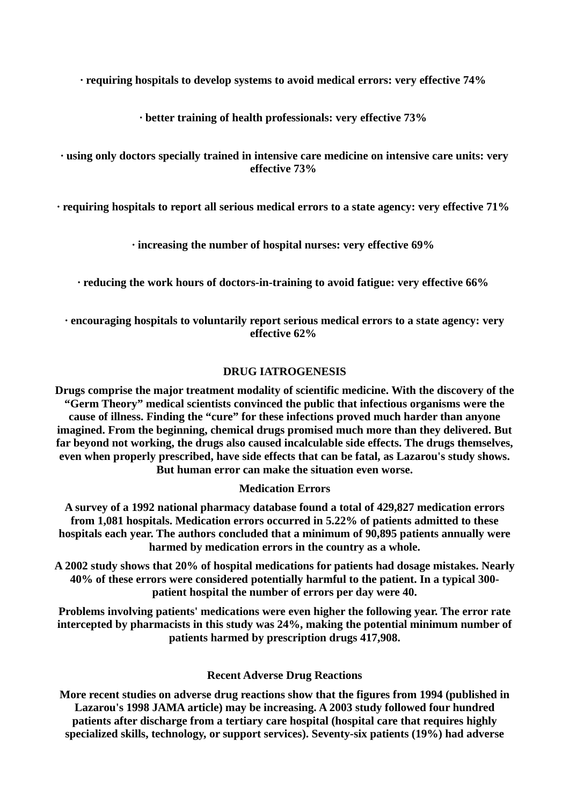**· requiring hospitals to develop systems to avoid medical errors: very effective 74%** 

**· better training of health professionals: very effective 73%** 

# **· using only doctors specially trained in intensive care medicine on intensive care units: very effective 73%**

**· requiring hospitals to report all serious medical errors to a state agency: very effective 71%** 

**· increasing the number of hospital nurses: very effective 69%** 

**· reducing the work hours of doctors-in-training to avoid fatigue: very effective 66%** 

**· encouraging hospitals to voluntarily report serious medical errors to a state agency: very effective 62%** 

# **DRUG IATROGENESIS**

**Drugs comprise the major treatment modality of scientific medicine. With the discovery of the "Germ Theory" medical scientists convinced the public that infectious organisms were the cause of illness. Finding the "cure" for these infections proved much harder than anyone imagined. From the beginning, chemical drugs promised much more than they delivered. But far beyond not working, the drugs also caused incalculable side effects. The drugs themselves, even when properly prescribed, have side effects that can be fatal, as Lazarou's study shows. But human error can make the situation even worse.**

# **Medication Errors**

**A survey of a 1992 national pharmacy database found a total of 429,827 medication errors from 1,081 hospitals. Medication errors occurred in 5.22% of patients admitted to these hospitals each year. The authors concluded that a minimum of 90,895 patients annually were harmed by medication errors in the country as a whole.**

**A 2002 study shows that 20% of hospital medications for patients had dosage mistakes. Nearly 40% of these errors were considered potentially harmful to the patient. In a typical 300 patient hospital the number of errors per day were 40.**

**Problems involving patients' medications were even higher the following year. The error rate intercepted by pharmacists in this study was 24%, making the potential minimum number of patients harmed by prescription drugs 417,908.**

# **Recent Adverse Drug Reactions**

**More recent studies on adverse drug reactions show that the figures from 1994 (published in Lazarou's 1998 JAMA article) may be increasing. A 2003 study followed four hundred patients after discharge from a tertiary care hospital (hospital care that requires highly specialized skills, technology, or support services). Seventy-six patients (19%) had adverse**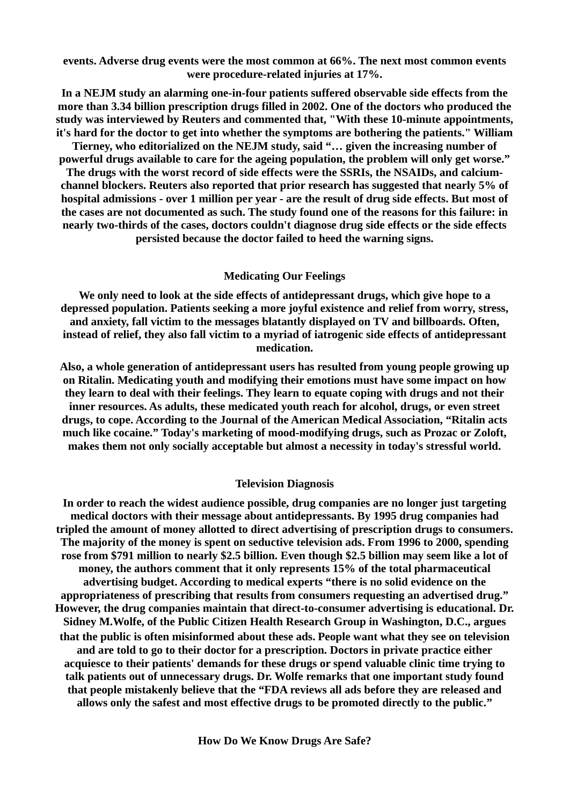**events. Adverse drug events were the most common at 66%. The next most common events were procedure-related injuries at 17%.**

**In a NEJM study an alarming one-in-four patients suffered observable side effects from the more than 3.34 billion prescription drugs filled in 2002. One of the doctors who produced the study was interviewed by Reuters and commented that, "With these 10-minute appointments, it's hard for the doctor to get into whether the symptoms are bothering the patients." William**

**Tierney, who editorialized on the NEJM study, said "… given the increasing number of powerful drugs available to care for the ageing population, the problem will only get worse."**

**The drugs with the worst record of side effects were the SSRIs, the NSAIDs, and calciumchannel blockers. Reuters also reported that prior research has suggested that nearly 5% of hospital admissions - over 1 million per year - are the result of drug side effects. But most of the cases are not documented as such. The study found one of the reasons for this failure: in nearly two-thirds of the cases, doctors couldn't diagnose drug side effects or the side effects persisted because the doctor failed to heed the warning signs.**

### **Medicating Our Feelings**

**We only need to look at the side effects of antidepressant drugs, which give hope to a depressed population. Patients seeking a more joyful existence and relief from worry, stress, and anxiety, fall victim to the messages blatantly displayed on TV and billboards. Often, instead of relief, they also fall victim to a myriad of iatrogenic side effects of antidepressant medication.**

**Also, a whole generation of antidepressant users has resulted from young people growing up on Ritalin. Medicating youth and modifying their emotions must have some impact on how they learn to deal with their feelings. They learn to equate coping with drugs and not their inner resources. As adults, these medicated youth reach for alcohol, drugs, or even street drugs, to cope. According to the Journal of the American Medical Association, "Ritalin acts much like cocaine." Today's marketing of mood-modifying drugs, such as Prozac or Zoloft, makes them not only socially acceptable but almost a necessity in today's stressful world.**

#### **Television Diagnosis**

**In order to reach the widest audience possible, drug companies are no longer just targeting medical doctors with their message about antidepressants. By 1995 drug companies had tripled the amount of money allotted to direct advertising of prescription drugs to consumers. The majority of the money is spent on seductive television ads. From 1996 to 2000, spending rose from \$791 million to nearly \$2.5 billion. Even though \$2.5 billion may seem like a lot of money, the authors comment that it only represents 15% of the total pharmaceutical advertising budget. According to medical experts "there is no solid evidence on the appropriateness of prescribing that results from consumers requesting an advertised drug." However, the drug companies maintain that direct-to-consumer advertising is educational. Dr. Sidney M.Wolfe, of the Public Citizen Health Research Group in Washington, D.C., argues that the public is often misinformed about these ads. People want what they see on television and are told to go to their doctor for a prescription. Doctors in private practice either acquiesce to their patients' demands for these drugs or spend valuable clinic time trying to talk patients out of unnecessary drugs. Dr. Wolfe remarks that one important study found that people mistakenly believe that the "FDA reviews all ads before they are released and allows only the safest and most effective drugs to be promoted directly to the public."**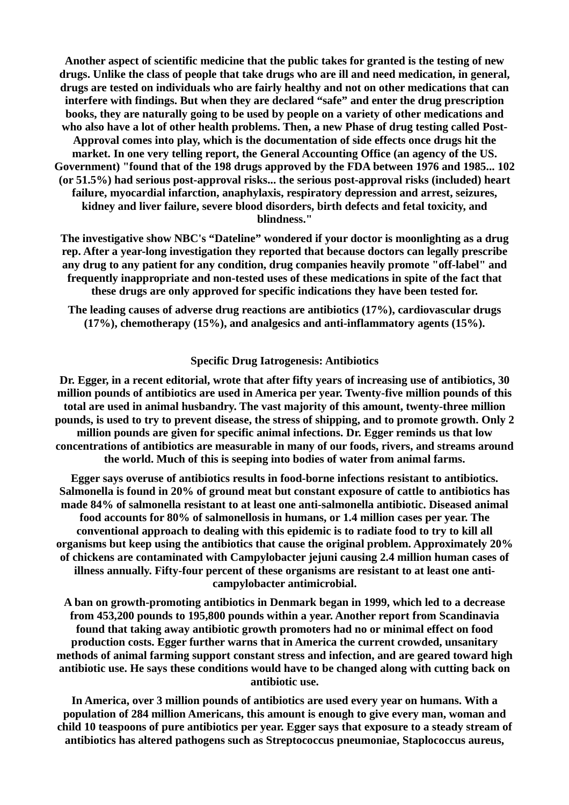**Another aspect of scientific medicine that the public takes for granted is the testing of new drugs. Unlike the class of people that take drugs who are ill and need medication, in general, drugs are tested on individuals who are fairly healthy and not on other medications that can interfere with findings. But when they are declared "safe" and enter the drug prescription books, they are naturally going to be used by people on a variety of other medications and who also have a lot of other health problems. Then, a new Phase of drug testing called Post-Approval comes into play, which is the documentation of side effects once drugs hit the market. In one very telling report, the General Accounting Office (an agency of the US. Government) "found that of the 198 drugs approved by the FDA between 1976 and 1985... 102 (or 51.5%) had serious post-approval risks... the serious post-approval risks (included) heart failure, myocardial infarction, anaphylaxis, respiratory depression and arrest, seizures, kidney and liver failure, severe blood disorders, birth defects and fetal toxicity, and blindness."**

**The investigative show NBC's "Dateline" wondered if your doctor is moonlighting as a drug rep. After a year-long investigation they reported that because doctors can legally prescribe any drug to any patient for any condition, drug companies heavily promote "off-label" and frequently inappropriate and non-tested uses of these medications in spite of the fact that these drugs are only approved for specific indications they have been tested for.**

**The leading causes of adverse drug reactions are antibiotics (17%), cardiovascular drugs (17%), chemotherapy (15%), and analgesics and anti-inflammatory agents (15%).**

### **Specific Drug Iatrogenesis: Antibiotics**

**Dr. Egger, in a recent editorial, wrote that after fifty years of increasing use of antibiotics, 30 million pounds of antibiotics are used in America per year. Twenty-five million pounds of this total are used in animal husbandry. The vast majority of this amount, twenty-three million pounds, is used to try to prevent disease, the stress of shipping, and to promote growth. Only 2 million pounds are given for specific animal infections. Dr. Egger reminds us that low concentrations of antibiotics are measurable in many of our foods, rivers, and streams around the world. Much of this is seeping into bodies of water from animal farms.**

**Egger says overuse of antibiotics results in food-borne infections resistant to antibiotics. Salmonella is found in 20% of ground meat but constant exposure of cattle to antibiotics has made 84% of salmonella resistant to at least one anti-salmonella antibiotic. Diseased animal food accounts for 80% of salmonellosis in humans, or 1.4 million cases per year. The conventional approach to dealing with this epidemic is to radiate food to try to kill all organisms but keep using the antibiotics that cause the original problem. Approximately 20% of chickens are contaminated with Campylobacter jejuni causing 2.4 million human cases of illness annually. Fifty-four percent of these organisms are resistant to at least one anticampylobacter antimicrobial.**

**A ban on growth-promoting antibiotics in Denmark began in 1999, which led to a decrease from 453,200 pounds to 195,800 pounds within a year. Another report from Scandinavia found that taking away antibiotic growth promoters had no or minimal effect on food production costs. Egger further warns that in America the current crowded, unsanitary methods of animal farming support constant stress and infection, and are geared toward high antibiotic use. He says these conditions would have to be changed along with cutting back on antibiotic use.**

**In America, over 3 million pounds of antibiotics are used every year on humans. With a population of 284 million Americans, this amount is enough to give every man, woman and child 10 teaspoons of pure antibiotics per year. Egger says that exposure to a steady stream of antibiotics has altered pathogens such as Streptococcus pneumoniae, Staplococcus aureus,**